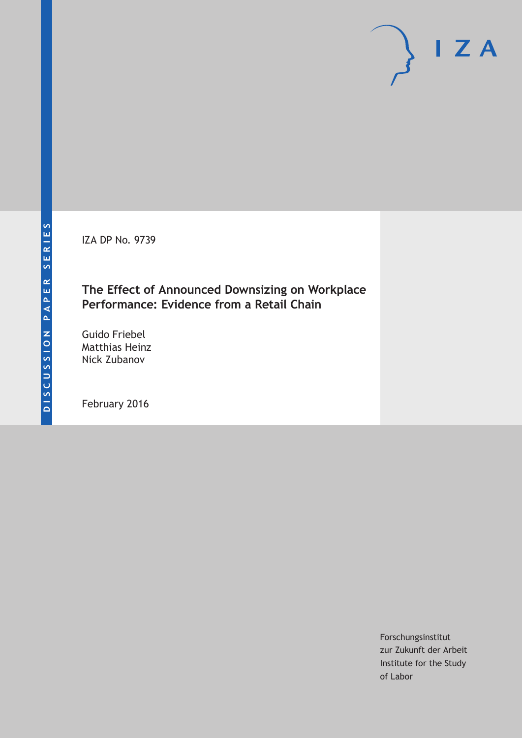IZA DP No. 9739

## **The Effect of Announced Downsizing on Workplace Performance: Evidence from a Retail Chain**

Guido Friebel Matthias Heinz Nick Zubanov

February 2016

Forschungsinstitut zur Zukunft der Arbeit Institute for the Study of Labor

 $I Z A$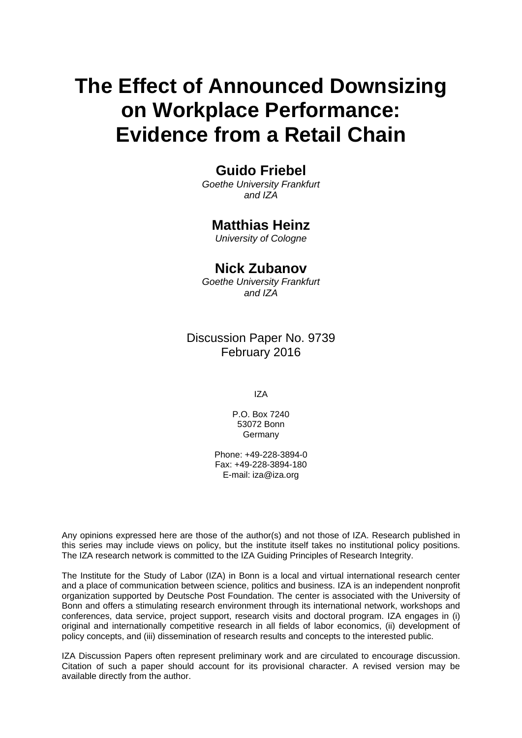# **The Effect of Announced Downsizing on Workplace Performance: Evidence from a Retail Chain**

## **Guido Friebel**

*Goethe University Frankfurt and IZA* 

## **Matthias Heinz**

*University of Cologne* 

## **Nick Zubanov**

*Goethe University Frankfurt and IZA*

Discussion Paper No. 9739 February 2016

IZA

P.O. Box 7240 53072 Bonn Germany

Phone: +49-228-3894-0 Fax: +49-228-3894-180 E-mail: iza@iza.org

Any opinions expressed here are those of the author(s) and not those of IZA. Research published in this series may include views on policy, but the institute itself takes no institutional policy positions. The IZA research network is committed to the IZA Guiding Principles of Research Integrity.

The Institute for the Study of Labor (IZA) in Bonn is a local and virtual international research center and a place of communication between science, politics and business. IZA is an independent nonprofit organization supported by Deutsche Post Foundation. The center is associated with the University of Bonn and offers a stimulating research environment through its international network, workshops and conferences, data service, project support, research visits and doctoral program. IZA engages in (i) original and internationally competitive research in all fields of labor economics, (ii) development of policy concepts, and (iii) dissemination of research results and concepts to the interested public.

IZA Discussion Papers often represent preliminary work and are circulated to encourage discussion. Citation of such a paper should account for its provisional character. A revised version may be available directly from the author.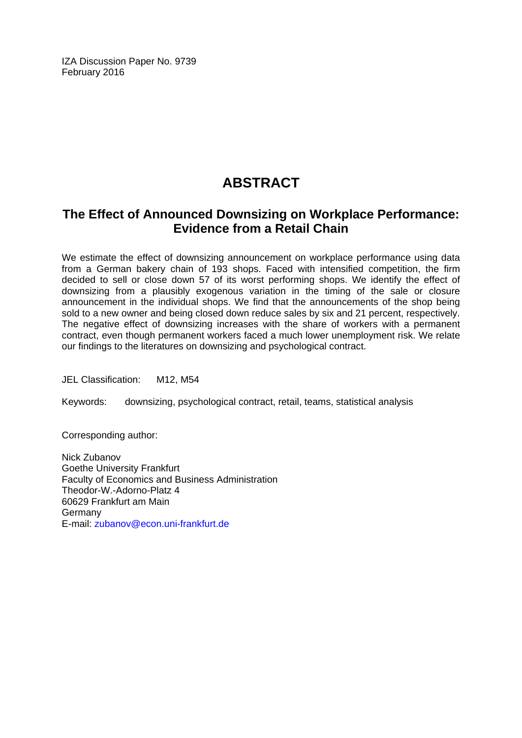IZA Discussion Paper No. 9739 February 2016

## **ABSTRACT**

## **The Effect of Announced Downsizing on Workplace Performance: Evidence from a Retail Chain**

We estimate the effect of downsizing announcement on workplace performance using data from a German bakery chain of 193 shops. Faced with intensified competition, the firm decided to sell or close down 57 of its worst performing shops. We identify the effect of downsizing from a plausibly exogenous variation in the timing of the sale or closure announcement in the individual shops. We find that the announcements of the shop being sold to a new owner and being closed down reduce sales by six and 21 percent, respectively. The negative effect of downsizing increases with the share of workers with a permanent contract, even though permanent workers faced a much lower unemployment risk. We relate our findings to the literatures on downsizing and psychological contract.

JEL Classification: M12, M54

Keywords: downsizing, psychological contract, retail, teams, statistical analysis

Corresponding author:

Nick Zubanov Goethe University Frankfurt Faculty of Economics and Business Administration Theodor-W.-Adorno-Platz 4 60629 Frankfurt am Main Germany E-mail: zubanov@econ.uni-frankfurt.de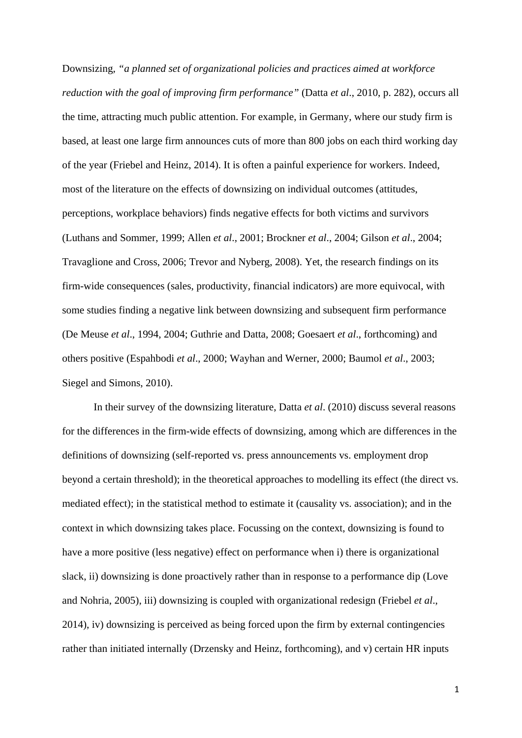Downsizing, *"a planned set of organizational policies and practices aimed at workforce reduction with the goal of improving firm performance"* (Datta *et al*., 2010, p. 282), occurs all the time, attracting much public attention. For example, in Germany, where our study firm is based, at least one large firm announces cuts of more than 800 jobs on each third working day of the year (Friebel and Heinz, 2014). It is often a painful experience for workers. Indeed, most of the literature on the effects of downsizing on individual outcomes (attitudes, perceptions, workplace behaviors) finds negative effects for both victims and survivors (Luthans and Sommer, 1999; Allen *et al*., 2001; Brockner *et al*., 2004; Gilson *et al*., 2004; Travaglione and Cross, 2006; Trevor and Nyberg, 2008). Yet, the research findings on its firm-wide consequences (sales, productivity, financial indicators) are more equivocal, with some studies finding a negative link between downsizing and subsequent firm performance (De Meuse *et al*., 1994, 2004; Guthrie and Datta, 2008; Goesaert *et al*., forthcoming) and others positive (Espahbodi *et al*., 2000; Wayhan and Werner, 2000; Baumol *et al*., 2003; Siegel and Simons, 2010).

 In their survey of the downsizing literature, Datta *et al*. (2010) discuss several reasons for the differences in the firm-wide effects of downsizing, among which are differences in the definitions of downsizing (self-reported vs. press announcements vs. employment drop beyond a certain threshold); in the theoretical approaches to modelling its effect (the direct vs. mediated effect); in the statistical method to estimate it (causality vs. association); and in the context in which downsizing takes place. Focussing on the context, downsizing is found to have a more positive (less negative) effect on performance when i) there is organizational slack, ii) downsizing is done proactively rather than in response to a performance dip (Love and Nohria, 2005), iii) downsizing is coupled with organizational redesign (Friebel *et al*., 2014), iv) downsizing is perceived as being forced upon the firm by external contingencies rather than initiated internally (Drzensky and Heinz, forthcoming), and v) certain HR inputs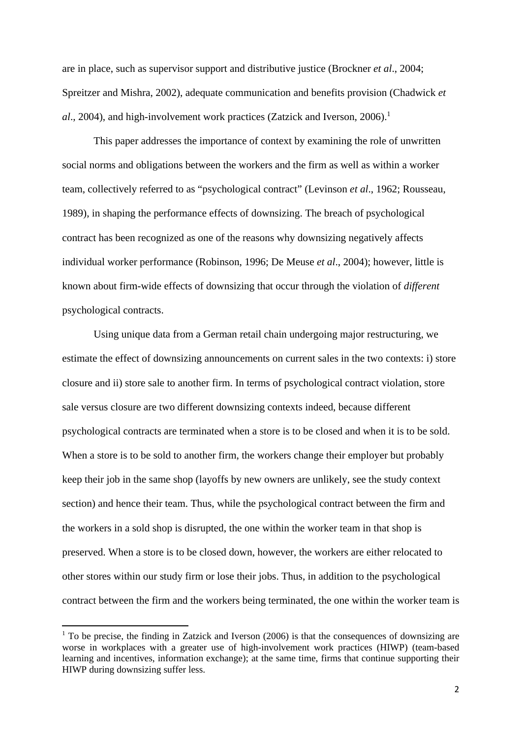are in place, such as supervisor support and distributive justice (Brockner *et al*., 2004; Spreitzer and Mishra, 2002), adequate communication and benefits provision (Chadwick *et al.*, 2004), and high-involvement work practices (Zatzick and Iverson, 2006).<sup>1</sup>

 This paper addresses the importance of context by examining the role of unwritten social norms and obligations between the workers and the firm as well as within a worker team, collectively referred to as "psychological contract" (Levinson *et al*., 1962; Rousseau, 1989), in shaping the performance effects of downsizing. The breach of psychological contract has been recognized as one of the reasons why downsizing negatively affects individual worker performance (Robinson, 1996; De Meuse *et al*., 2004); however, little is known about firm-wide effects of downsizing that occur through the violation of *different* psychological contracts.

 Using unique data from a German retail chain undergoing major restructuring, we estimate the effect of downsizing announcements on current sales in the two contexts: i) store closure and ii) store sale to another firm. In terms of psychological contract violation, store sale versus closure are two different downsizing contexts indeed, because different psychological contracts are terminated when a store is to be closed and when it is to be sold. When a store is to be sold to another firm, the workers change their employer but probably keep their job in the same shop (layoffs by new owners are unlikely, see the study context section) and hence their team. Thus, while the psychological contract between the firm and the workers in a sold shop is disrupted, the one within the worker team in that shop is preserved. When a store is to be closed down, however, the workers are either relocated to other stores within our study firm or lose their jobs. Thus, in addition to the psychological contract between the firm and the workers being terminated, the one within the worker team is

<sup>&</sup>lt;sup>1</sup> To be precise, the finding in Zatzick and Iverson (2006) is that the consequences of downsizing are worse in workplaces with a greater use of high-involvement work practices (HIWP) (team-based learning and incentives, information exchange); at the same time, firms that continue supporting their HIWP during downsizing suffer less.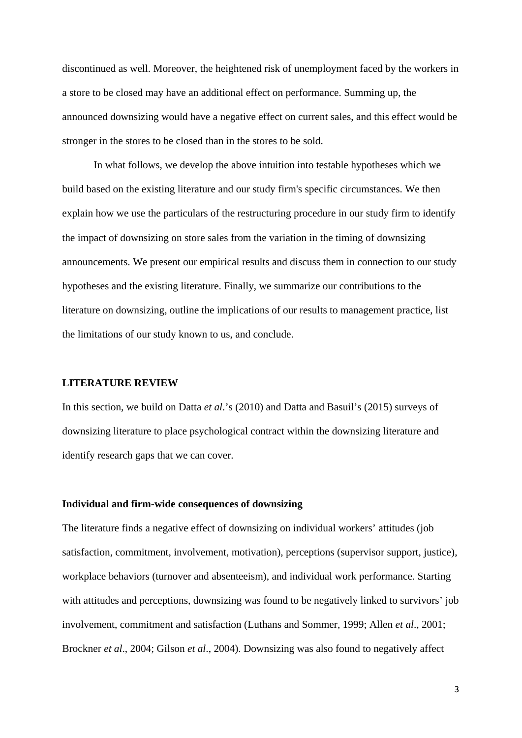discontinued as well. Moreover, the heightened risk of unemployment faced by the workers in a store to be closed may have an additional effect on performance. Summing up, the announced downsizing would have a negative effect on current sales, and this effect would be stronger in the stores to be closed than in the stores to be sold.

 In what follows, we develop the above intuition into testable hypotheses which we build based on the existing literature and our study firm's specific circumstances. We then explain how we use the particulars of the restructuring procedure in our study firm to identify the impact of downsizing on store sales from the variation in the timing of downsizing announcements. We present our empirical results and discuss them in connection to our study hypotheses and the existing literature. Finally, we summarize our contributions to the literature on downsizing, outline the implications of our results to management practice, list the limitations of our study known to us, and conclude.

#### **LITERATURE REVIEW**

In this section, we build on Datta *et al*.'s (2010) and Datta and Basuil's (2015) surveys of downsizing literature to place psychological contract within the downsizing literature and identify research gaps that we can cover.

#### **Individual and firm-wide consequences of downsizing**

The literature finds a negative effect of downsizing on individual workers' attitudes (job satisfaction, commitment, involvement, motivation), perceptions (supervisor support, justice), workplace behaviors (turnover and absenteeism), and individual work performance. Starting with attitudes and perceptions, downsizing was found to be negatively linked to survivors' job involvement, commitment and satisfaction (Luthans and Sommer, 1999; Allen *et al*., 2001; Brockner *et al*., 2004; Gilson *et al*., 2004). Downsizing was also found to negatively affect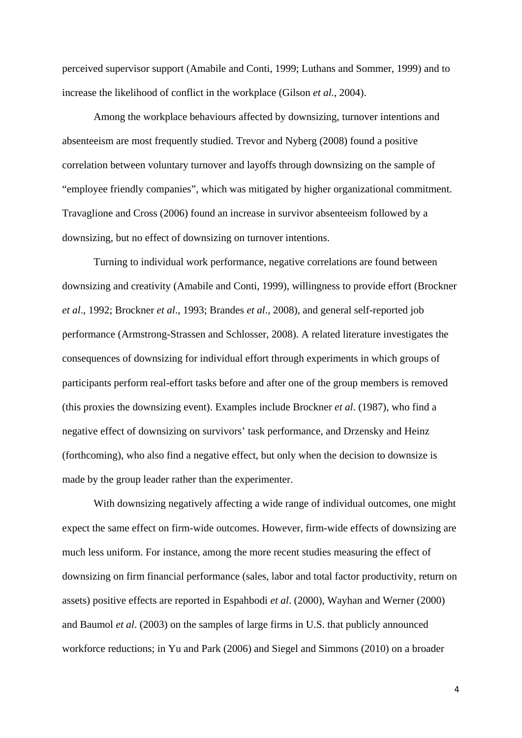perceived supervisor support (Amabile and Conti, 1999; Luthans and Sommer, 1999) and to increase the likelihood of conflict in the workplace (Gilson *et al*., 2004).

 Among the workplace behaviours affected by downsizing, turnover intentions and absenteeism are most frequently studied. Trevor and Nyberg (2008) found a positive correlation between voluntary turnover and layoffs through downsizing on the sample of "employee friendly companies", which was mitigated by higher organizational commitment. Travaglione and Cross (2006) found an increase in survivor absenteeism followed by a downsizing, but no effect of downsizing on turnover intentions.

 Turning to individual work performance, negative correlations are found between downsizing and creativity (Amabile and Conti, 1999), willingness to provide effort (Brockner *et al*., 1992; Brockner *et al*., 1993; Brandes *et al*., 2008), and general self-reported job performance (Armstrong-Strassen and Schlosser, 2008). A related literature investigates the consequences of downsizing for individual effort through experiments in which groups of participants perform real-effort tasks before and after one of the group members is removed (this proxies the downsizing event). Examples include Brockner *et al*. (1987), who find a negative effect of downsizing on survivors' task performance, and Drzensky and Heinz (forthcoming), who also find a negative effect, but only when the decision to downsize is made by the group leader rather than the experimenter.

 With downsizing negatively affecting a wide range of individual outcomes, one might expect the same effect on firm-wide outcomes. However, firm-wide effects of downsizing are much less uniform. For instance, among the more recent studies measuring the effect of downsizing on firm financial performance (sales, labor and total factor productivity, return on assets) positive effects are reported in Espahbodi *et al*. (2000), Wayhan and Werner (2000) and Baumol *et al*. (2003) on the samples of large firms in U.S. that publicly announced workforce reductions; in Yu and Park (2006) and Siegel and Simmons (2010) on a broader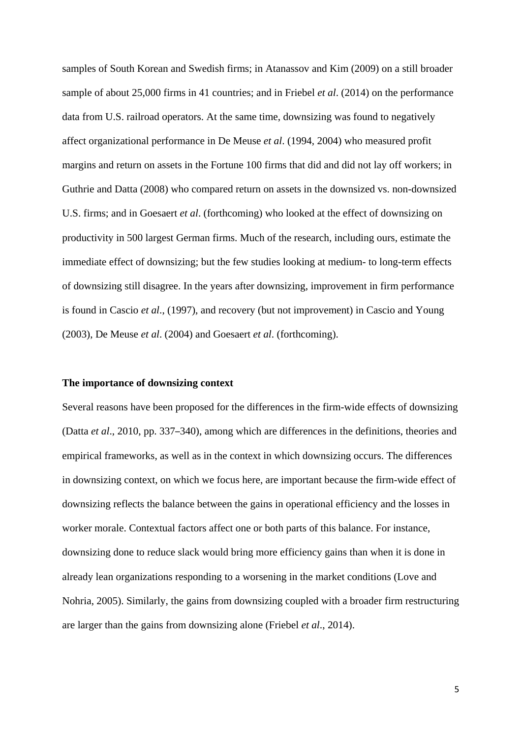samples of South Korean and Swedish firms; in Atanassov and Kim (2009) on a still broader sample of about 25,000 firms in 41 countries; and in Friebel *et al*. (2014) on the performance data from U.S. railroad operators. At the same time, downsizing was found to negatively affect organizational performance in De Meuse *et al*. (1994, 2004) who measured profit margins and return on assets in the Fortune 100 firms that did and did not lay off workers; in Guthrie and Datta (2008) who compared return on assets in the downsized vs. non-downsized U.S. firms; and in Goesaert *et al*. (forthcoming) who looked at the effect of downsizing on productivity in 500 largest German firms. Much of the research, including ours, estimate the immediate effect of downsizing; but the few studies looking at medium- to long-term effects of downsizing still disagree. In the years after downsizing, improvement in firm performance is found in Cascio *et al*., (1997), and recovery (but not improvement) in Cascio and Young (2003), De Meuse *et al*. (2004) and Goesaert *et al*. (forthcoming).

#### **The importance of downsizing context**

Several reasons have been proposed for the differences in the firm-wide effects of downsizing (Datta *et al*., 2010, pp. 337–340), among which are differences in the definitions, theories and empirical frameworks, as well as in the context in which downsizing occurs. The differences in downsizing context, on which we focus here, are important because the firm-wide effect of downsizing reflects the balance between the gains in operational efficiency and the losses in worker morale. Contextual factors affect one or both parts of this balance. For instance, downsizing done to reduce slack would bring more efficiency gains than when it is done in already lean organizations responding to a worsening in the market conditions (Love and Nohria, 2005). Similarly, the gains from downsizing coupled with a broader firm restructuring are larger than the gains from downsizing alone (Friebel *et al*., 2014).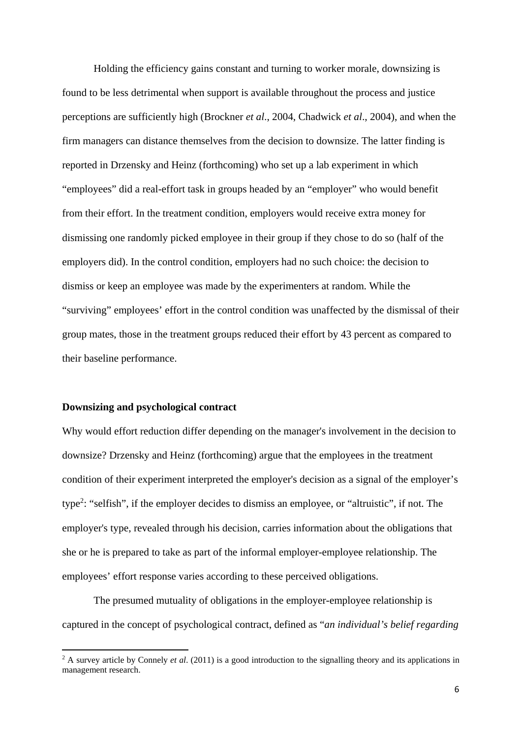Holding the efficiency gains constant and turning to worker morale, downsizing is found to be less detrimental when support is available throughout the process and justice perceptions are sufficiently high (Brockner *et al*., 2004, Chadwick *et al*., 2004), and when the firm managers can distance themselves from the decision to downsize. The latter finding is reported in Drzensky and Heinz (forthcoming) who set up a lab experiment in which "employees" did a real-effort task in groups headed by an "employer" who would benefit from their effort. In the treatment condition, employers would receive extra money for dismissing one randomly picked employee in their group if they chose to do so (half of the employers did). In the control condition, employers had no such choice: the decision to dismiss or keep an employee was made by the experimenters at random. While the "surviving" employees' effort in the control condition was unaffected by the dismissal of their group mates, those in the treatment groups reduced their effort by 43 percent as compared to their baseline performance.

#### **Downsizing and psychological contract**

Why would effort reduction differ depending on the manager's involvement in the decision to downsize? Drzensky and Heinz (forthcoming) argue that the employees in the treatment condition of their experiment interpreted the employer's decision as a signal of the employer's type<sup>2</sup>: "selfish", if the employer decides to dismiss an employee, or "altruistic", if not. The employer's type, revealed through his decision, carries information about the obligations that she or he is prepared to take as part of the informal employer-employee relationship. The employees' effort response varies according to these perceived obligations.

 The presumed mutuality of obligations in the employer-employee relationship is captured in the concept of psychological contract, defined as "*an individual's belief regarding* 

<sup>&</sup>lt;sup>2</sup> A survey article by Connely *et al.* (2011) is a good introduction to the signalling theory and its applications in management research.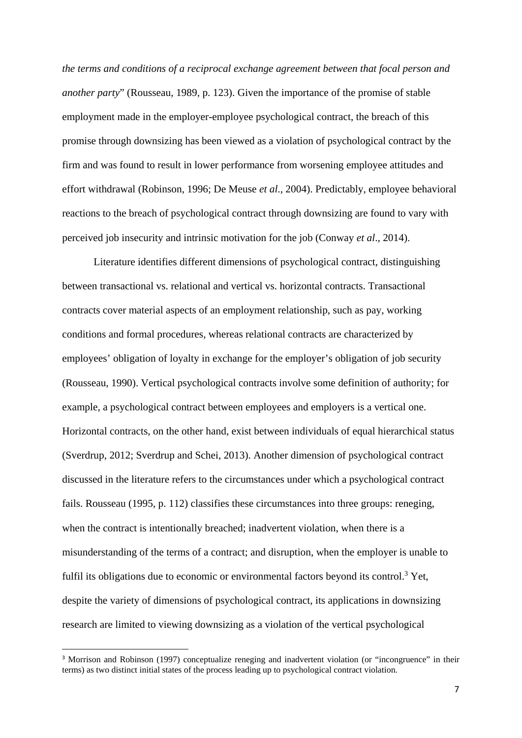*the terms and conditions of a reciprocal exchange agreement between that focal person and another party*" (Rousseau, 1989, p. 123). Given the importance of the promise of stable employment made in the employer-employee psychological contract, the breach of this promise through downsizing has been viewed as a violation of psychological contract by the firm and was found to result in lower performance from worsening employee attitudes and effort withdrawal (Robinson, 1996; De Meuse *et al*., 2004). Predictably, employee behavioral reactions to the breach of psychological contract through downsizing are found to vary with perceived job insecurity and intrinsic motivation for the job (Conway *et al*., 2014).

 Literature identifies different dimensions of psychological contract, distinguishing between transactional vs. relational and vertical vs. horizontal contracts. Transactional contracts cover material aspects of an employment relationship, such as pay, working conditions and formal procedures, whereas relational contracts are characterized by employees' obligation of loyalty in exchange for the employer's obligation of job security (Rousseau, 1990). Vertical psychological contracts involve some definition of authority; for example, a psychological contract between employees and employers is a vertical one. Horizontal contracts, on the other hand, exist between individuals of equal hierarchical status (Sverdrup, 2012; Sverdrup and Schei, 2013). Another dimension of psychological contract discussed in the literature refers to the circumstances under which a psychological contract fails. Rousseau (1995, p. 112) classifies these circumstances into three groups: reneging, when the contract is intentionally breached; inadvertent violation, when there is a misunderstanding of the terms of a contract; and disruption, when the employer is unable to fulfil its obligations due to economic or environmental factors beyond its control.<sup>3</sup> Yet, despite the variety of dimensions of psychological contract, its applications in downsizing research are limited to viewing downsizing as a violation of the vertical psychological

<sup>&</sup>lt;sup>3</sup> Morrison and Robinson (1997) conceptualize reneging and inadvertent violation (or "incongruence" in their terms) as two distinct initial states of the process leading up to psychological contract violation.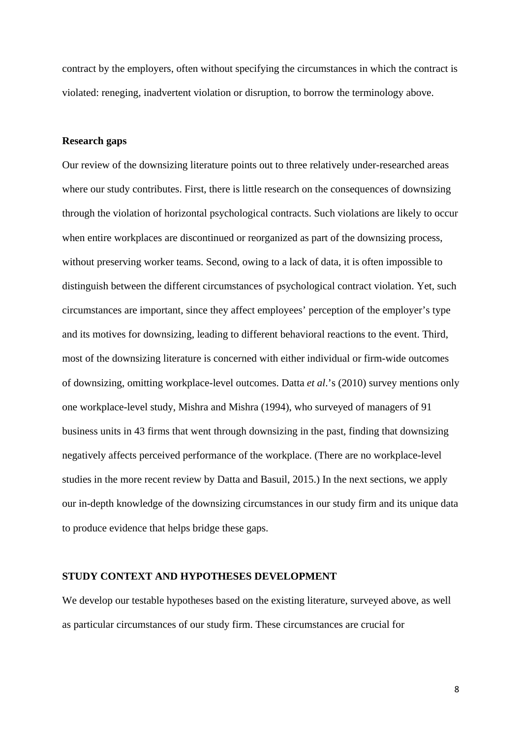contract by the employers, often without specifying the circumstances in which the contract is violated: reneging, inadvertent violation or disruption, to borrow the terminology above.

#### **Research gaps**

Our review of the downsizing literature points out to three relatively under-researched areas where our study contributes. First, there is little research on the consequences of downsizing through the violation of horizontal psychological contracts. Such violations are likely to occur when entire workplaces are discontinued or reorganized as part of the downsizing process, without preserving worker teams. Second, owing to a lack of data, it is often impossible to distinguish between the different circumstances of psychological contract violation. Yet, such circumstances are important, since they affect employees' perception of the employer's type and its motives for downsizing, leading to different behavioral reactions to the event. Third, most of the downsizing literature is concerned with either individual or firm-wide outcomes of downsizing, omitting workplace-level outcomes. Datta *et al*.'s (2010) survey mentions only one workplace-level study, Mishra and Mishra (1994), who surveyed of managers of 91 business units in 43 firms that went through downsizing in the past, finding that downsizing negatively affects perceived performance of the workplace. (There are no workplace-level studies in the more recent review by Datta and Basuil, 2015.) In the next sections, we apply our in-depth knowledge of the downsizing circumstances in our study firm and its unique data to produce evidence that helps bridge these gaps.

#### **STUDY CONTEXT AND HYPOTHESES DEVELOPMENT**

We develop our testable hypotheses based on the existing literature, surveyed above, as well as particular circumstances of our study firm. These circumstances are crucial for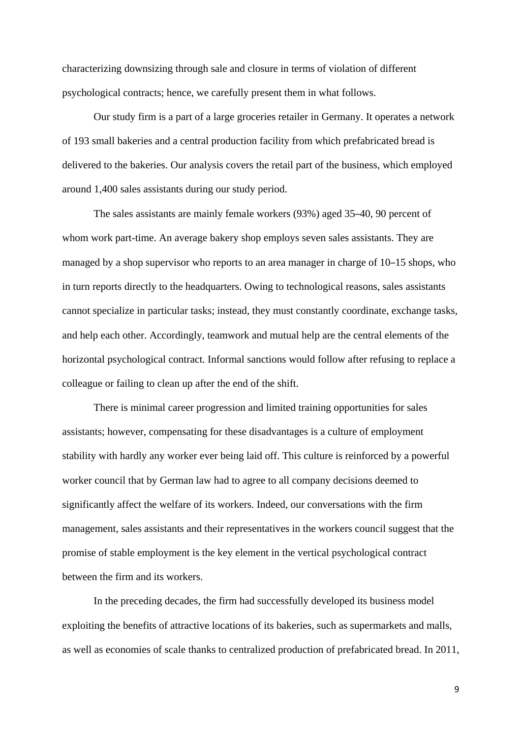characterizing downsizing through sale and closure in terms of violation of different psychological contracts; hence, we carefully present them in what follows.

Our study firm is a part of a large groceries retailer in Germany. It operates a network of 193 small bakeries and a central production facility from which prefabricated bread is delivered to the bakeries. Our analysis covers the retail part of the business, which employed around 1,400 sales assistants during our study period.

The sales assistants are mainly female workers (93%) aged 35–40, 90 percent of whom work part-time. An average bakery shop employs seven sales assistants. They are managed by a shop supervisor who reports to an area manager in charge of 10–15 shops, who in turn reports directly to the headquarters. Owing to technological reasons, sales assistants cannot specialize in particular tasks; instead, they must constantly coordinate, exchange tasks, and help each other. Accordingly, teamwork and mutual help are the central elements of the horizontal psychological contract. Informal sanctions would follow after refusing to replace a colleague or failing to clean up after the end of the shift.

There is minimal career progression and limited training opportunities for sales assistants; however, compensating for these disadvantages is a culture of employment stability with hardly any worker ever being laid off. This culture is reinforced by a powerful worker council that by German law had to agree to all company decisions deemed to significantly affect the welfare of its workers. Indeed, our conversations with the firm management, sales assistants and their representatives in the workers council suggest that the promise of stable employment is the key element in the vertical psychological contract between the firm and its workers.

 In the preceding decades, the firm had successfully developed its business model exploiting the benefits of attractive locations of its bakeries, such as supermarkets and malls, as well as economies of scale thanks to centralized production of prefabricated bread. In 2011,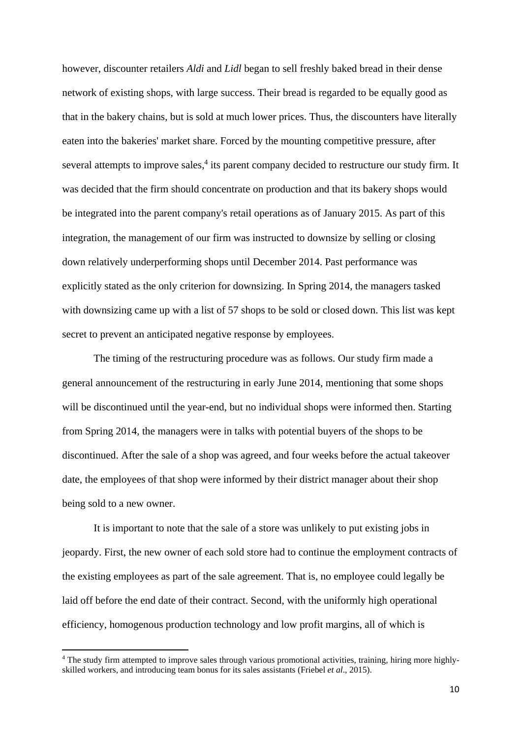however, discounter retailers *Aldi* and *Lidl* began to sell freshly baked bread in their dense network of existing shops, with large success. Their bread is regarded to be equally good as that in the bakery chains, but is sold at much lower prices. Thus, the discounters have literally eaten into the bakeries' market share. Forced by the mounting competitive pressure, after several attempts to improve sales,<sup>4</sup> its parent company decided to restructure our study firm. It was decided that the firm should concentrate on production and that its bakery shops would be integrated into the parent company's retail operations as of January 2015. As part of this integration, the management of our firm was instructed to downsize by selling or closing down relatively underperforming shops until December 2014. Past performance was explicitly stated as the only criterion for downsizing. In Spring 2014, the managers tasked with downsizing came up with a list of 57 shops to be sold or closed down. This list was kept secret to prevent an anticipated negative response by employees.

 The timing of the restructuring procedure was as follows. Our study firm made a general announcement of the restructuring in early June 2014, mentioning that some shops will be discontinued until the year-end, but no individual shops were informed then. Starting from Spring 2014, the managers were in talks with potential buyers of the shops to be discontinued. After the sale of a shop was agreed, and four weeks before the actual takeover date, the employees of that shop were informed by their district manager about their shop being sold to a new owner.

It is important to note that the sale of a store was unlikely to put existing jobs in jeopardy. First, the new owner of each sold store had to continue the employment contracts of the existing employees as part of the sale agreement. That is, no employee could legally be laid off before the end date of their contract. Second, with the uniformly high operational efficiency, homogenous production technology and low profit margins, all of which is

<sup>&</sup>lt;sup>4</sup> The study firm attempted to improve sales through various promotional activities, training, hiring more highlyskilled workers, and introducing team bonus for its sales assistants (Friebel *et al*., 2015).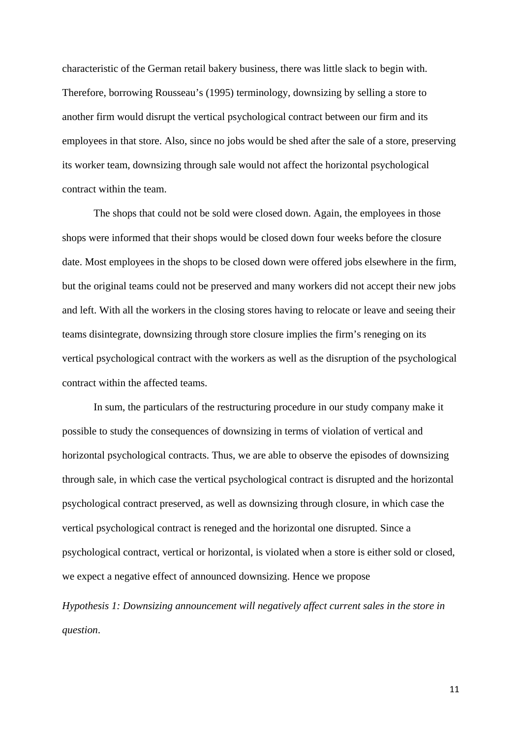characteristic of the German retail bakery business, there was little slack to begin with. Therefore, borrowing Rousseau's (1995) terminology, downsizing by selling a store to another firm would disrupt the vertical psychological contract between our firm and its employees in that store. Also, since no jobs would be shed after the sale of a store, preserving its worker team, downsizing through sale would not affect the horizontal psychological contract within the team.

 The shops that could not be sold were closed down. Again, the employees in those shops were informed that their shops would be closed down four weeks before the closure date. Most employees in the shops to be closed down were offered jobs elsewhere in the firm, but the original teams could not be preserved and many workers did not accept their new jobs and left. With all the workers in the closing stores having to relocate or leave and seeing their teams disintegrate, downsizing through store closure implies the firm's reneging on its vertical psychological contract with the workers as well as the disruption of the psychological contract within the affected teams.

 In sum, the particulars of the restructuring procedure in our study company make it possible to study the consequences of downsizing in terms of violation of vertical and horizontal psychological contracts. Thus, we are able to observe the episodes of downsizing through sale, in which case the vertical psychological contract is disrupted and the horizontal psychological contract preserved, as well as downsizing through closure, in which case the vertical psychological contract is reneged and the horizontal one disrupted. Since a psychological contract, vertical or horizontal, is violated when a store is either sold or closed, we expect a negative effect of announced downsizing. Hence we propose

*Hypothesis 1: Downsizing announcement will negatively affect current sales in the store in question*.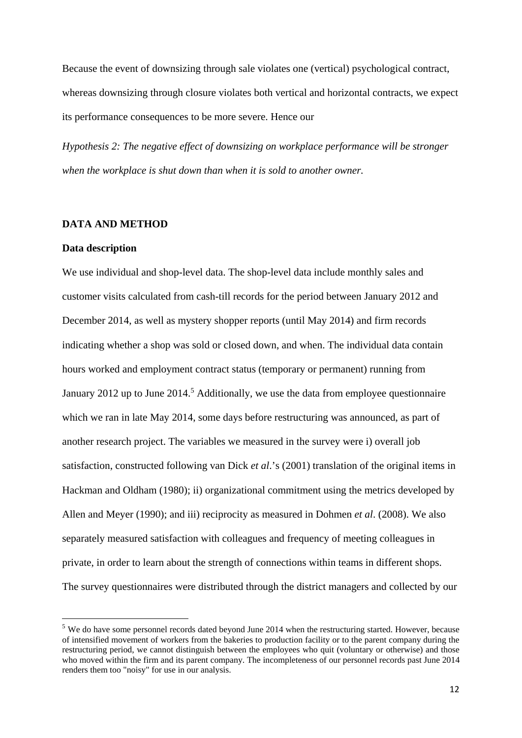Because the event of downsizing through sale violates one (vertical) psychological contract, whereas downsizing through closure violates both vertical and horizontal contracts, we expect its performance consequences to be more severe. Hence our

*Hypothesis 2: The negative effect of downsizing on workplace performance will be stronger when the workplace is shut down than when it is sold to another owner.* 

#### **DATA AND METHOD**

#### **Data description**

We use individual and shop-level data. The shop-level data include monthly sales and customer visits calculated from cash-till records for the period between January 2012 and December 2014, as well as mystery shopper reports (until May 2014) and firm records indicating whether a shop was sold or closed down, and when. The individual data contain hours worked and employment contract status (temporary or permanent) running from January 2012 up to June 2014.<sup>5</sup> Additionally, we use the data from employee questionnaire which we ran in late May 2014, some days before restructuring was announced, as part of another research project. The variables we measured in the survey were i) overall job satisfaction, constructed following van Dick *et al*.'s (2001) translation of the original items in Hackman and Oldham (1980); ii) organizational commitment using the metrics developed by Allen and Meyer (1990); and iii) reciprocity as measured in Dohmen *et al*. (2008). We also separately measured satisfaction with colleagues and frequency of meeting colleagues in private, in order to learn about the strength of connections within teams in different shops. The survey questionnaires were distributed through the district managers and collected by our

<sup>&</sup>lt;sup>5</sup> We do have some personnel records dated beyond June 2014 when the restructuring started. However, because of intensified movement of workers from the bakeries to production facility or to the parent company during the restructuring period, we cannot distinguish between the employees who quit (voluntary or otherwise) and those who moved within the firm and its parent company. The incompleteness of our personnel records past June 2014 renders them too "noisy" for use in our analysis.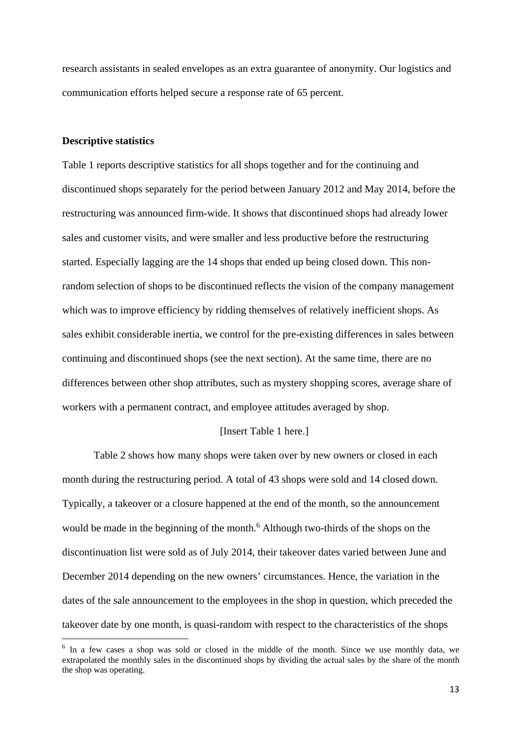research assistants in sealed envelopes as an extra guarantee of anonymity. Our logistics and communication efforts helped secure a response rate of 65 percent.

#### **Descriptive statistics**

Table 1 reports descriptive statistics for all shops together and for the continuing and discontinued shops separately for the period between January 2012 and May 2014, before the restructuring was announced firm-wide. It shows that discontinued shops had already lower sales and customer visits, and were smaller and less productive before the restructuring started. Especially lagging are the 14 shops that ended up being closed down. This nonrandom selection of shops to be discontinued reflects the vision of the company management which was to improve efficiency by ridding themselves of relatively inefficient shops. As sales exhibit considerable inertia, we control for the pre-existing differences in sales between continuing and discontinued shops (see the next section). At the same time, there are no differences between other shop attributes, such as mystery shopping scores, average share of workers with a permanent contract, and employee attitudes averaged by shop.

#### [Insert Table 1 here.]

 Table 2 shows how many shops were taken over by new owners or closed in each month during the restructuring period. A total of 43 shops were sold and 14 closed down. Typically, a takeover or a closure happened at the end of the month, so the announcement would be made in the beginning of the month.<sup>6</sup> Although two-thirds of the shops on the discontinuation list were sold as of July 2014, their takeover dates varied between June and December 2014 depending on the new owners' circumstances. Hence, the variation in the dates of the sale announcement to the employees in the shop in question, which preceded the takeover date by one month, is quasi-random with respect to the characteristics of the shops

 $6$  In a few cases a shop was sold or closed in the middle of the month. Since we use monthly data, we extrapolated the monthly sales in the discontinued shops by dividing the actual sales by the share of the month the shop was operating.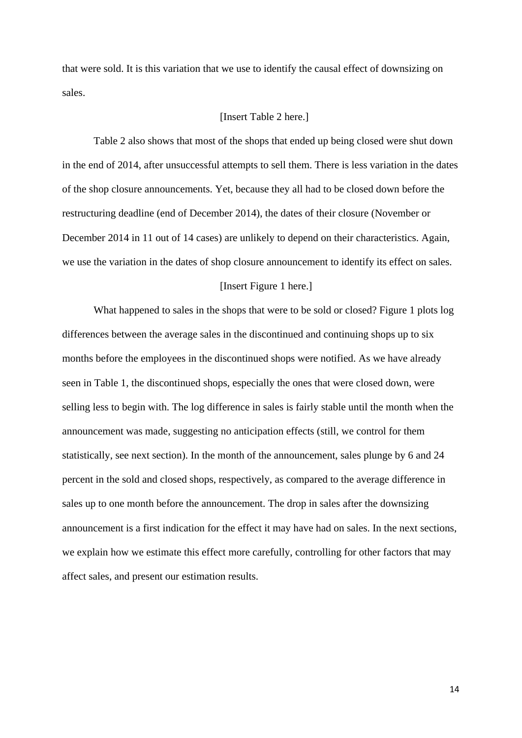that were sold. It is this variation that we use to identify the causal effect of downsizing on sales.

#### [Insert Table 2 here.]

 Table 2 also shows that most of the shops that ended up being closed were shut down in the end of 2014, after unsuccessful attempts to sell them. There is less variation in the dates of the shop closure announcements. Yet, because they all had to be closed down before the restructuring deadline (end of December 2014), the dates of their closure (November or December 2014 in 11 out of 14 cases) are unlikely to depend on their characteristics. Again, we use the variation in the dates of shop closure announcement to identify its effect on sales.

#### [Insert Figure 1 here.]

What happened to sales in the shops that were to be sold or closed? Figure 1 plots log differences between the average sales in the discontinued and continuing shops up to six months before the employees in the discontinued shops were notified. As we have already seen in Table 1, the discontinued shops, especially the ones that were closed down, were selling less to begin with. The log difference in sales is fairly stable until the month when the announcement was made, suggesting no anticipation effects (still, we control for them statistically, see next section). In the month of the announcement, sales plunge by 6 and 24 percent in the sold and closed shops, respectively, as compared to the average difference in sales up to one month before the announcement. The drop in sales after the downsizing announcement is a first indication for the effect it may have had on sales. In the next sections, we explain how we estimate this effect more carefully, controlling for other factors that may affect sales, and present our estimation results.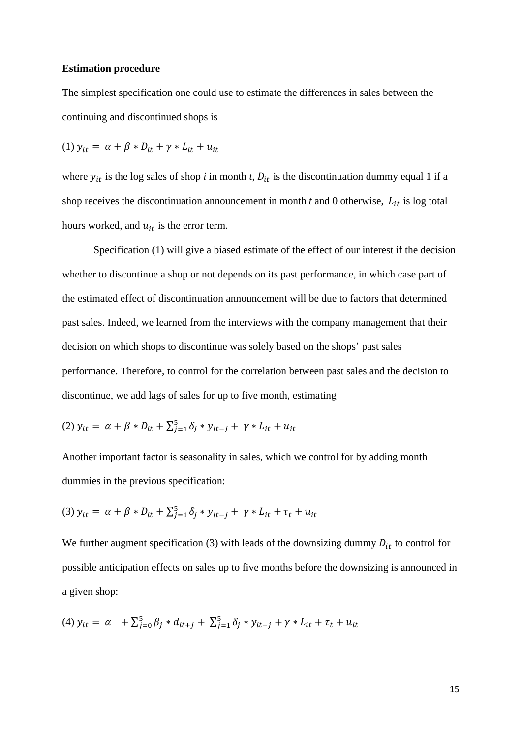#### **Estimation procedure**

The simplest specification one could use to estimate the differences in sales between the continuing and discontinued shops is

(1) 
$$
y_{it} = \alpha + \beta * D_{it} + \gamma * L_{it} + u_{it}
$$

where  $y_{it}$  is the log sales of shop *i* in month *t*,  $D_{it}$  is the discontinuation dummy equal 1 if a shop receives the discontinuation announcement in month  $t$  and  $0$  otherwise,  $L_{it}$  is log total hours worked, and  $u_{it}$  is the error term.

 Specification (1) will give a biased estimate of the effect of our interest if the decision whether to discontinue a shop or not depends on its past performance, in which case part of the estimated effect of discontinuation announcement will be due to factors that determined past sales. Indeed, we learned from the interviews with the company management that their decision on which shops to discontinue was solely based on the shops' past sales performance. Therefore, to control for the correlation between past sales and the decision to discontinue, we add lags of sales for up to five month, estimating

(2) 
$$
y_{it} = \alpha + \beta * D_{it} + \sum_{j=1}^{5} \delta_j * y_{it-j} + \gamma * L_{it} + u_{it}
$$

Another important factor is seasonality in sales, which we control for by adding month dummies in the previous specification:

(3) 
$$
y_{it} = \alpha + \beta * D_{it} + \sum_{j=1}^{5} \delta_j * y_{it-j} + \gamma * L_{it} + \tau_t + u_{it}
$$

We further augment specification (3) with leads of the downsizing dummy  $D_{it}$  to control for possible anticipation effects on sales up to five months before the downsizing is announced in a given shop:

(4) 
$$
y_{it} = \alpha + \sum_{j=0}^{5} \beta_j * d_{it+j} + \sum_{j=1}^{5} \delta_j * y_{it-j} + \gamma * L_{it} + \tau_t + u_{it}
$$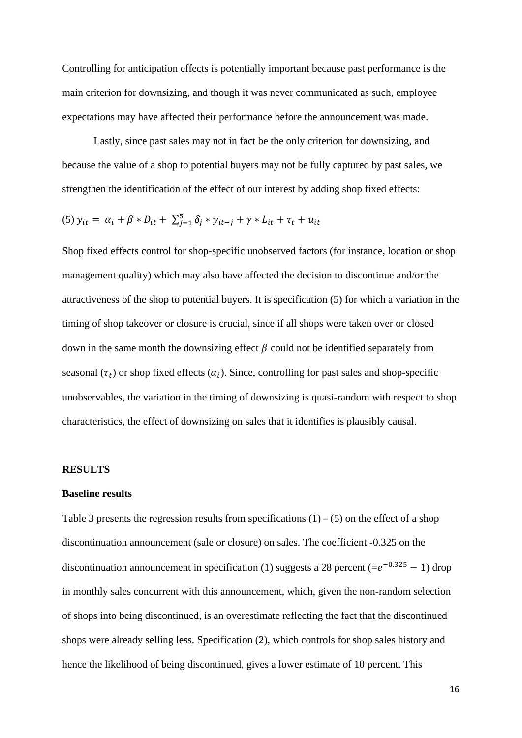Controlling for anticipation effects is potentially important because past performance is the main criterion for downsizing, and though it was never communicated as such, employee expectations may have affected their performance before the announcement was made.

 Lastly, since past sales may not in fact be the only criterion for downsizing, and because the value of a shop to potential buyers may not be fully captured by past sales, we strengthen the identification of the effect of our interest by adding shop fixed effects:

(5) 
$$
y_{it} = \alpha_i + \beta * D_{it} + \sum_{j=1}^{5} \delta_j * y_{it-j} + \gamma * L_{it} + \tau_t + u_{it}
$$

Shop fixed effects control for shop-specific unobserved factors (for instance, location or shop management quality) which may also have affected the decision to discontinue and/or the attractiveness of the shop to potential buyers. It is specification (5) for which a variation in the timing of shop takeover or closure is crucial, since if all shops were taken over or closed down in the same month the downsizing effect  $\beta$  could not be identified separately from seasonal  $(\tau_t)$  or shop fixed effects  $(\alpha_i)$ . Since, controlling for past sales and shop-specific unobservables, the variation in the timing of downsizing is quasi-random with respect to shop characteristics, the effect of downsizing on sales that it identifies is plausibly causal.

#### **RESULTS**

#### **Baseline results**

Table 3 presents the regression results from specifications  $(1) - (5)$  on the effect of a shop discontinuation announcement (sale or closure) on sales. The coefficient -0.325 on the discontinuation announcement in specification (1) suggests a 28 percent (= $e^{-0.325} - 1$ ) drop in monthly sales concurrent with this announcement, which, given the non-random selection of shops into being discontinued, is an overestimate reflecting the fact that the discontinued shops were already selling less. Specification (2), which controls for shop sales history and hence the likelihood of being discontinued, gives a lower estimate of 10 percent. This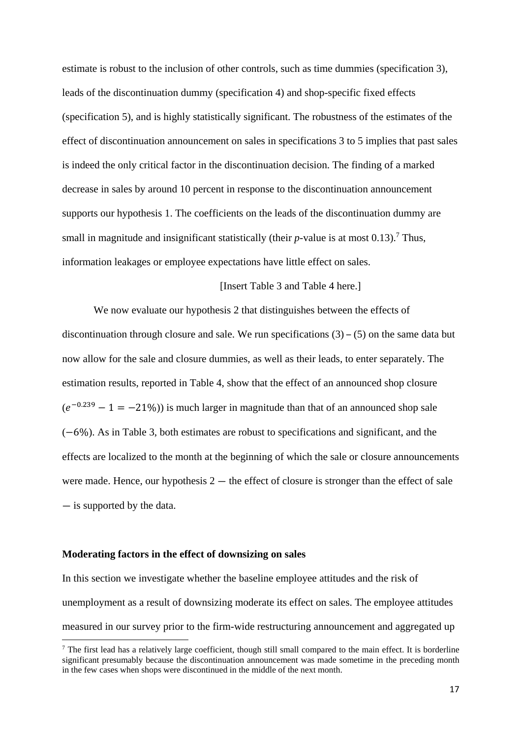estimate is robust to the inclusion of other controls, such as time dummies (specification 3), leads of the discontinuation dummy (specification 4) and shop-specific fixed effects (specification 5), and is highly statistically significant. The robustness of the estimates of the effect of discontinuation announcement on sales in specifications 3 to 5 implies that past sales is indeed the only critical factor in the discontinuation decision. The finding of a marked decrease in sales by around 10 percent in response to the discontinuation announcement supports our hypothesis 1. The coefficients on the leads of the discontinuation dummy are small in magnitude and insignificant statistically (their  $p$ -value is at most 0.13).<sup>7</sup> Thus, information leakages or employee expectations have little effect on sales.

#### [Insert Table 3 and Table 4 here.]

 We now evaluate our hypothesis 2 that distinguishes between the effects of discontinuation through closure and sale. We run specifications  $(3) - (5)$  on the same data but now allow for the sale and closure dummies, as well as their leads, to enter separately. The estimation results, reported in Table 4, show that the effect of an announced shop closure  $(e^{-0.239} - 1 = -21\%)$ ) is much larger in magnitude than that of an announced shop sale  $(-6%)$ . As in Table 3, both estimates are robust to specifications and significant, and the effects are localized to the month at the beginning of which the sale or closure announcements were made. Hence, our hypothesis  $2 -$  the effect of closure is stronger than the effect of sale — is supported by the data.

#### **Moderating factors in the effect of downsizing on sales**

In this section we investigate whether the baseline employee attitudes and the risk of unemployment as a result of downsizing moderate its effect on sales. The employee attitudes measured in our survey prior to the firm-wide restructuring announcement and aggregated up

The first lead has a relatively large coefficient, though still small compared to the main effect. It is borderline significant presumably because the discontinuation announcement was made sometime in the preceding month in the few cases when shops were discontinued in the middle of the next month.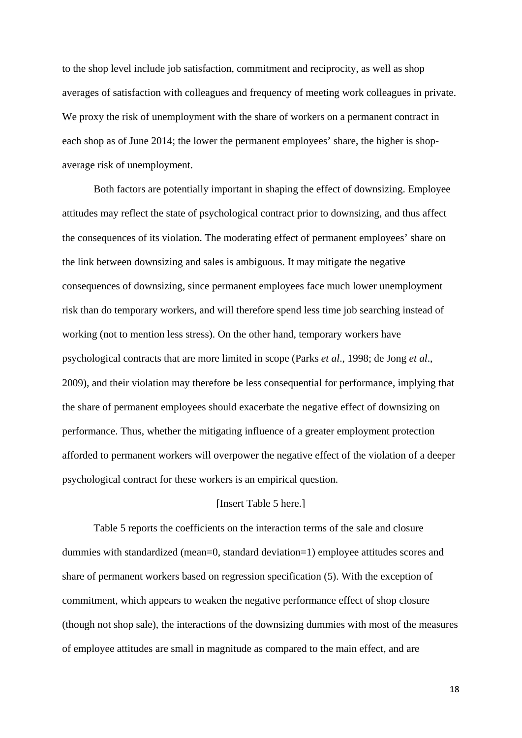to the shop level include job satisfaction, commitment and reciprocity, as well as shop averages of satisfaction with colleagues and frequency of meeting work colleagues in private. We proxy the risk of unemployment with the share of workers on a permanent contract in each shop as of June 2014; the lower the permanent employees' share, the higher is shopaverage risk of unemployment.

 Both factors are potentially important in shaping the effect of downsizing. Employee attitudes may reflect the state of psychological contract prior to downsizing, and thus affect the consequences of its violation. The moderating effect of permanent employees' share on the link between downsizing and sales is ambiguous. It may mitigate the negative consequences of downsizing, since permanent employees face much lower unemployment risk than do temporary workers, and will therefore spend less time job searching instead of working (not to mention less stress). On the other hand, temporary workers have psychological contracts that are more limited in scope (Parks *et al*., 1998; de Jong *et al*., 2009), and their violation may therefore be less consequential for performance, implying that the share of permanent employees should exacerbate the negative effect of downsizing on performance. Thus, whether the mitigating influence of a greater employment protection afforded to permanent workers will overpower the negative effect of the violation of a deeper psychological contract for these workers is an empirical question.

#### [Insert Table 5 here.]

 Table 5 reports the coefficients on the interaction terms of the sale and closure dummies with standardized (mean=0, standard deviation=1) employee attitudes scores and share of permanent workers based on regression specification (5). With the exception of commitment, which appears to weaken the negative performance effect of shop closure (though not shop sale), the interactions of the downsizing dummies with most of the measures of employee attitudes are small in magnitude as compared to the main effect, and are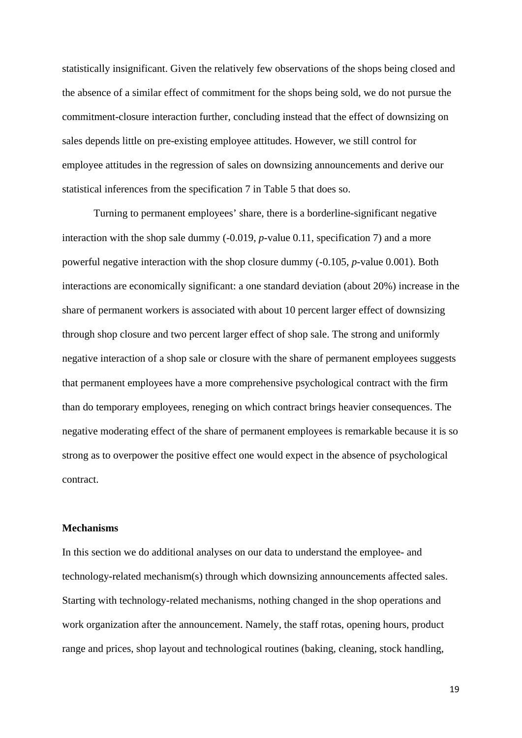statistically insignificant. Given the relatively few observations of the shops being closed and the absence of a similar effect of commitment for the shops being sold, we do not pursue the commitment-closure interaction further, concluding instead that the effect of downsizing on sales depends little on pre-existing employee attitudes. However, we still control for employee attitudes in the regression of sales on downsizing announcements and derive our statistical inferences from the specification 7 in Table 5 that does so.

 Turning to permanent employees' share, there is a borderline-significant negative interaction with the shop sale dummy (-0.019, *p*-value 0.11, specification 7) and a more powerful negative interaction with the shop closure dummy (-0.105, *p*-value 0.001). Both interactions are economically significant: a one standard deviation (about 20%) increase in the share of permanent workers is associated with about 10 percent larger effect of downsizing through shop closure and two percent larger effect of shop sale. The strong and uniformly negative interaction of a shop sale or closure with the share of permanent employees suggests that permanent employees have a more comprehensive psychological contract with the firm than do temporary employees, reneging on which contract brings heavier consequences. The negative moderating effect of the share of permanent employees is remarkable because it is so strong as to overpower the positive effect one would expect in the absence of psychological contract.

#### **Mechanisms**

In this section we do additional analyses on our data to understand the employee- and technology-related mechanism(s) through which downsizing announcements affected sales. Starting with technology-related mechanisms, nothing changed in the shop operations and work organization after the announcement. Namely, the staff rotas, opening hours, product range and prices, shop layout and technological routines (baking, cleaning, stock handling,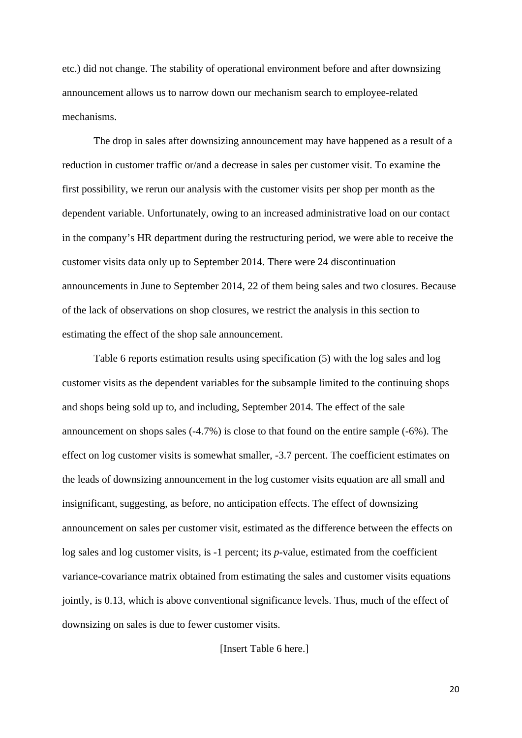etc.) did not change. The stability of operational environment before and after downsizing announcement allows us to narrow down our mechanism search to employee-related mechanisms.

 The drop in sales after downsizing announcement may have happened as a result of a reduction in customer traffic or/and a decrease in sales per customer visit. To examine the first possibility, we rerun our analysis with the customer visits per shop per month as the dependent variable. Unfortunately, owing to an increased administrative load on our contact in the company's HR department during the restructuring period, we were able to receive the customer visits data only up to September 2014. There were 24 discontinuation announcements in June to September 2014, 22 of them being sales and two closures. Because of the lack of observations on shop closures, we restrict the analysis in this section to estimating the effect of the shop sale announcement.

 Table 6 reports estimation results using specification (5) with the log sales and log customer visits as the dependent variables for the subsample limited to the continuing shops and shops being sold up to, and including, September 2014. The effect of the sale announcement on shops sales (-4.7%) is close to that found on the entire sample (-6%). The effect on log customer visits is somewhat smaller, -3.7 percent. The coefficient estimates on the leads of downsizing announcement in the log customer visits equation are all small and insignificant, suggesting, as before, no anticipation effects. The effect of downsizing announcement on sales per customer visit, estimated as the difference between the effects on log sales and log customer visits, is -1 percent; its *p*-value, estimated from the coefficient variance-covariance matrix obtained from estimating the sales and customer visits equations jointly, is 0.13, which is above conventional significance levels. Thus, much of the effect of downsizing on sales is due to fewer customer visits.

[Insert Table 6 here.]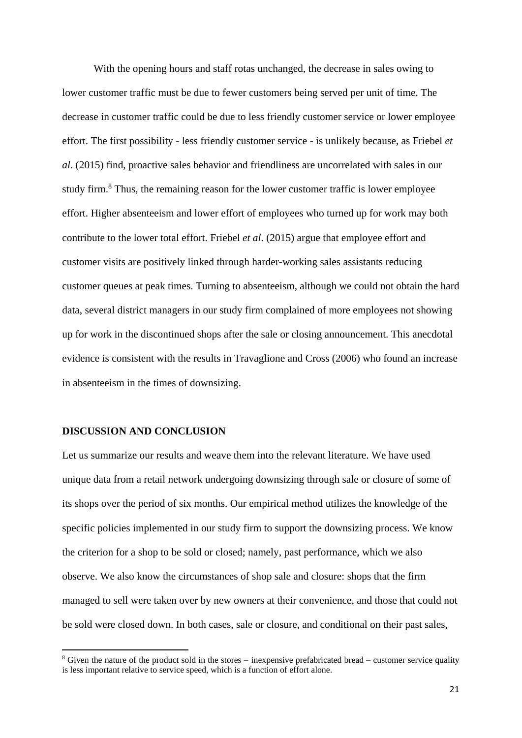With the opening hours and staff rotas unchanged, the decrease in sales owing to lower customer traffic must be due to fewer customers being served per unit of time. The decrease in customer traffic could be due to less friendly customer service or lower employee effort. The first possibility - less friendly customer service - is unlikely because, as Friebel *et al*. (2015) find, proactive sales behavior and friendliness are uncorrelated with sales in our study firm.<sup>8</sup> Thus, the remaining reason for the lower customer traffic is lower employee effort. Higher absenteeism and lower effort of employees who turned up for work may both contribute to the lower total effort. Friebel *et al*. (2015) argue that employee effort and customer visits are positively linked through harder-working sales assistants reducing customer queues at peak times. Turning to absenteeism, although we could not obtain the hard data, several district managers in our study firm complained of more employees not showing up for work in the discontinued shops after the sale or closing announcement. This anecdotal evidence is consistent with the results in Travaglione and Cross (2006) who found an increase in absenteeism in the times of downsizing.

#### **DISCUSSION AND CONCLUSION**

Let us summarize our results and weave them into the relevant literature. We have used unique data from a retail network undergoing downsizing through sale or closure of some of its shops over the period of six months. Our empirical method utilizes the knowledge of the specific policies implemented in our study firm to support the downsizing process. We know the criterion for a shop to be sold or closed; namely, past performance, which we also observe. We also know the circumstances of shop sale and closure: shops that the firm managed to sell were taken over by new owners at their convenience, and those that could not be sold were closed down. In both cases, sale or closure, and conditional on their past sales,

<sup>&</sup>lt;sup>8</sup> Given the nature of the product sold in the stores – inexpensive prefabricated bread – customer service quality is less important relative to service speed, which is a function of effort alone.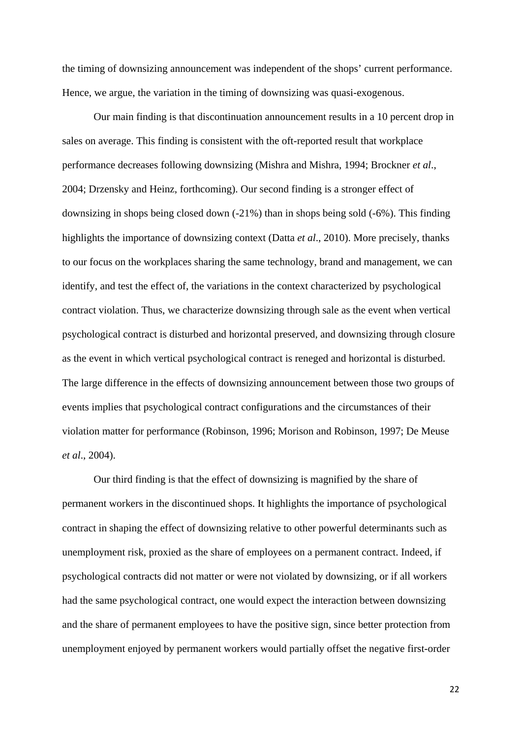the timing of downsizing announcement was independent of the shops' current performance. Hence, we argue, the variation in the timing of downsizing was quasi-exogenous.

 Our main finding is that discontinuation announcement results in a 10 percent drop in sales on average. This finding is consistent with the oft-reported result that workplace performance decreases following downsizing (Mishra and Mishra, 1994; Brockner *et al*., 2004; Drzensky and Heinz, forthcoming). Our second finding is a stronger effect of downsizing in shops being closed down (-21%) than in shops being sold (-6%). This finding highlights the importance of downsizing context (Datta *et al*., 2010). More precisely, thanks to our focus on the workplaces sharing the same technology, brand and management, we can identify, and test the effect of, the variations in the context characterized by psychological contract violation. Thus, we characterize downsizing through sale as the event when vertical psychological contract is disturbed and horizontal preserved, and downsizing through closure as the event in which vertical psychological contract is reneged and horizontal is disturbed. The large difference in the effects of downsizing announcement between those two groups of events implies that psychological contract configurations and the circumstances of their violation matter for performance (Robinson, 1996; Morison and Robinson, 1997; De Meuse *et al*., 2004).

 Our third finding is that the effect of downsizing is magnified by the share of permanent workers in the discontinued shops. It highlights the importance of psychological contract in shaping the effect of downsizing relative to other powerful determinants such as unemployment risk, proxied as the share of employees on a permanent contract. Indeed, if psychological contracts did not matter or were not violated by downsizing, or if all workers had the same psychological contract, one would expect the interaction between downsizing and the share of permanent employees to have the positive sign, since better protection from unemployment enjoyed by permanent workers would partially offset the negative first-order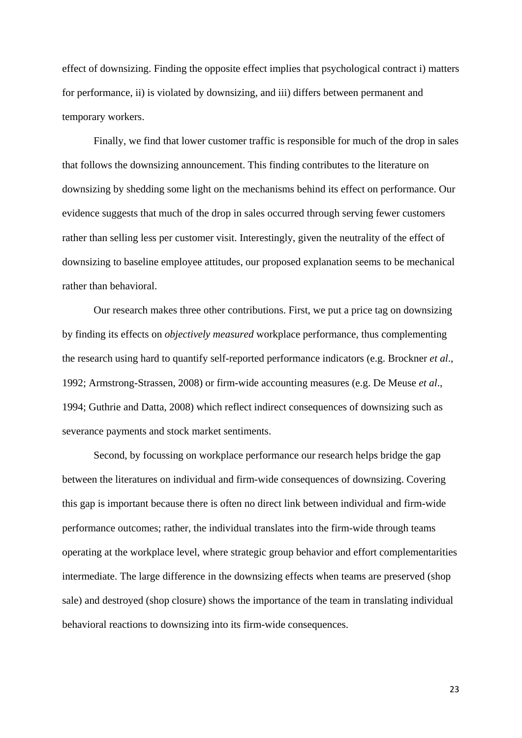effect of downsizing. Finding the opposite effect implies that psychological contract i) matters for performance, ii) is violated by downsizing, and iii) differs between permanent and temporary workers.

 Finally, we find that lower customer traffic is responsible for much of the drop in sales that follows the downsizing announcement. This finding contributes to the literature on downsizing by shedding some light on the mechanisms behind its effect on performance. Our evidence suggests that much of the drop in sales occurred through serving fewer customers rather than selling less per customer visit. Interestingly, given the neutrality of the effect of downsizing to baseline employee attitudes, our proposed explanation seems to be mechanical rather than behavioral.

 Our research makes three other contributions. First, we put a price tag on downsizing by finding its effects on *objectively measured* workplace performance, thus complementing the research using hard to quantify self-reported performance indicators (e.g. Brockner *et al*., 1992; Armstrong-Strassen, 2008) or firm-wide accounting measures (e.g. De Meuse *et al*., 1994; Guthrie and Datta, 2008) which reflect indirect consequences of downsizing such as severance payments and stock market sentiments.

 Second, by focussing on workplace performance our research helps bridge the gap between the literatures on individual and firm-wide consequences of downsizing. Covering this gap is important because there is often no direct link between individual and firm-wide performance outcomes; rather, the individual translates into the firm-wide through teams operating at the workplace level, where strategic group behavior and effort complementarities intermediate. The large difference in the downsizing effects when teams are preserved (shop sale) and destroyed (shop closure) shows the importance of the team in translating individual behavioral reactions to downsizing into its firm-wide consequences.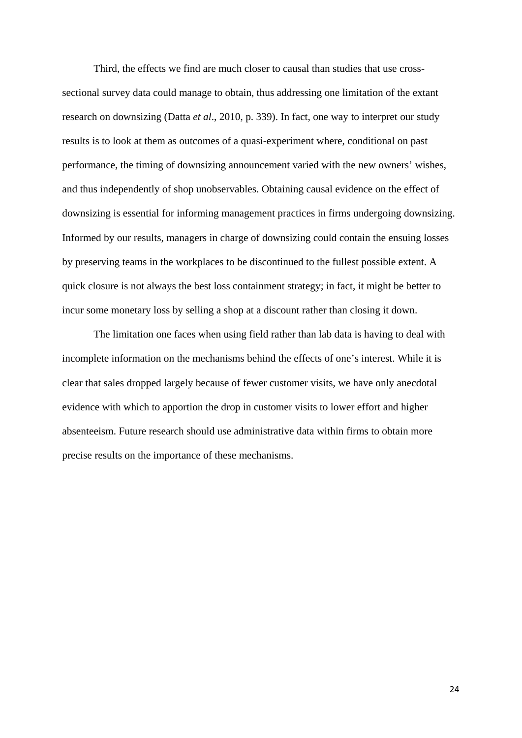Third, the effects we find are much closer to causal than studies that use crosssectional survey data could manage to obtain, thus addressing one limitation of the extant research on downsizing (Datta *et al*., 2010, p. 339). In fact, one way to interpret our study results is to look at them as outcomes of a quasi-experiment where, conditional on past performance, the timing of downsizing announcement varied with the new owners' wishes, and thus independently of shop unobservables. Obtaining causal evidence on the effect of downsizing is essential for informing management practices in firms undergoing downsizing. Informed by our results, managers in charge of downsizing could contain the ensuing losses by preserving teams in the workplaces to be discontinued to the fullest possible extent. A quick closure is not always the best loss containment strategy; in fact, it might be better to incur some monetary loss by selling a shop at a discount rather than closing it down.

 The limitation one faces when using field rather than lab data is having to deal with incomplete information on the mechanisms behind the effects of one's interest. While it is clear that sales dropped largely because of fewer customer visits, we have only anecdotal evidence with which to apportion the drop in customer visits to lower effort and higher absenteeism. Future research should use administrative data within firms to obtain more precise results on the importance of these mechanisms.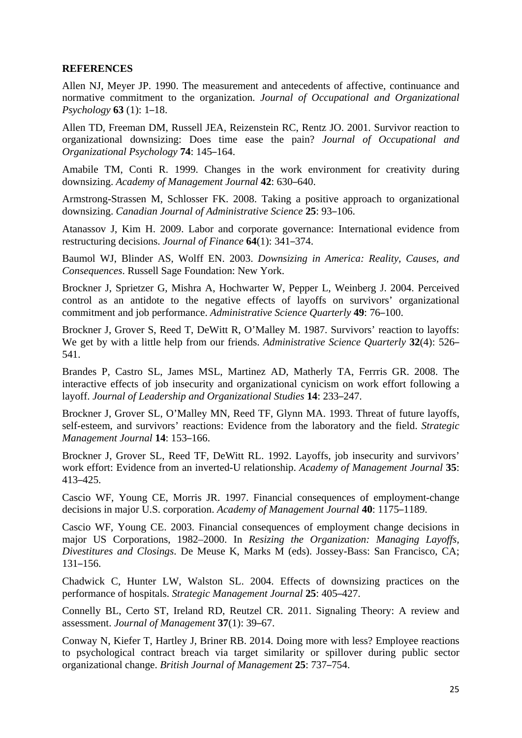#### **REFERENCES**

Allen NJ, Meyer JP. 1990. The measurement and antecedents of affective, continuance and normative commitment to the organization. *Journal of Occupational and Organizational Psychology* **63** (1): 1–18.

Allen TD, Freeman DM, Russell JEA, Reizenstein RC, Rentz JO. 2001. Survivor reaction to organizational downsizing: Does time ease the pain? *Journal of Occupational and Organizational Psychology* **74**: 145–164.

Amabile TM, Conti R. 1999. Changes in the work environment for creativity during downsizing. *Academy of Management Journal* **42**: 630–640.

Armstrong-Strassen M, Schlosser FK. 2008. Taking a positive approach to organizational downsizing. *Canadian Journal of Administrative Science* **25**: 93–106.

Atanassov J, Kim H. 2009. Labor and corporate governance: International evidence from restructuring decisions. *Journal of Finance* **64**(1): 341–374.

Baumol WJ, Blinder AS, Wolff EN. 2003. *Downsizing in America: Reality, Causes, and Consequences*. Russell Sage Foundation: New York.

Brockner J, Sprietzer G, Mishra A, Hochwarter W, Pepper L, Weinberg J. 2004. Perceived control as an antidote to the negative effects of layoffs on survivors' organizational commitment and job performance. *Administrative Science Quarterly* **49**: 76–100.

Brockner J, Grover S, Reed T, DeWitt R, O'Malley M. 1987. Survivors' reaction to layoffs: We get by with a little help from our friends. *Administrative Science Quarterly* **32**(4): 526– 541.

Brandes P, Castro SL, James MSL, Martinez AD, Matherly TA, Ferrris GR. 2008. The interactive effects of job insecurity and organizational cynicism on work effort following a layoff. *Journal of Leadership and Organizational Studies* **14**: 233–247.

Brockner J, Grover SL, O'Malley MN, Reed TF, Glynn MA. 1993. Threat of future layoffs, self-esteem, and survivors' reactions: Evidence from the laboratory and the field. *Strategic Management Journal* **14**: 153–166.

Brockner J, Grover SL, Reed TF, DeWitt RL. 1992. Layoffs, job insecurity and survivors' work effort: Evidence from an inverted-U relationship. *Academy of Management Journal* **35**: 413–425.

Cascio WF, Young CE, Morris JR. 1997. Financial consequences of employment-change decisions in major U.S. corporation. *Academy of Management Journal* **40**: 1175–1189.

Cascio WF, Young CE. 2003. Financial consequences of employment change decisions in major US Corporations, 1982–2000. In *Resizing the Organization: Managing Layoffs, Divestitures and Closings*. De Meuse K, Marks M (eds). Jossey-Bass: San Francisco, CA; 131–156.

Chadwick C, Hunter LW, Walston SL. 2004. Effects of downsizing practices on the performance of hospitals. *Strategic Management Journal* **25**: 405–427.

Connelly BL, Certo ST, Ireland RD, Reutzel CR. 2011. Signaling Theory: A review and assessment. *Journal of Management* **37**(1): 39–67.

Conway N, Kiefer T, Hartley J, Briner RB. 2014. Doing more with less? Employee reactions to psychological contract breach via target similarity or spillover during public sector organizational change. *British Journal of Management* **25**: 737–754.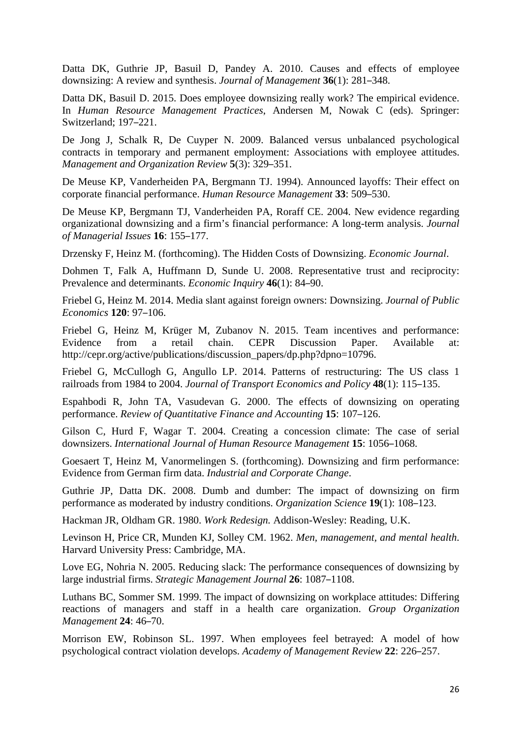Datta DK, Guthrie JP, Basuil D, Pandey A. 2010. Causes and effects of employee downsizing: A review and synthesis. *Journal of Management* **36**(1): 281–348.

Datta DK, Basuil D. 2015. Does employee downsizing really work? The empirical evidence. In *Human Resource Management Practices*, Andersen M, Nowak C (eds). Springer: Switzerland; 197–221.

De Jong J, Schalk R, De Cuyper N. 2009. Balanced versus unbalanced psychological contracts in temporary and permanent employment: Associations with employee attitudes. *Management and Organization Review* **5**(3): 329–351.

De Meuse KP, Vanderheiden PA, Bergmann TJ. 1994). Announced layoffs: Their effect on corporate financial performance. *Human Resource Management* **33**: 509–530.

De Meuse KP, Bergmann TJ, Vanderheiden PA, Roraff CE. 2004. New evidence regarding organizational downsizing and a firm's financial performance: A long-term analysis. *Journal of Managerial Issues* **16**: 155–177.

Drzensky F, Heinz M. (forthcoming). The Hidden Costs of Downsizing. *Economic Journal*.

Dohmen T, Falk A, Huffmann D, Sunde U. 2008. Representative trust and reciprocity: Prevalence and determinants. *Economic Inquiry* **46**(1): 84–90.

Friebel G, Heinz M. 2014. Media slant against foreign owners: Downsizing. *Journal of Public Economics* **120**: 97–106.

Friebel G, Heinz M, Krüger M, Zubanov N. 2015. Team incentives and performance: Evidence from a retail chain. CEPR Discussion Paper. Available at: http://cepr.org/active/publications/discussion\_papers/dp.php?dpno=10796.

Friebel G, McCullogh G, Angullo LP. 2014. Patterns of restructuring: The US class 1 railroads from 1984 to 2004. *Journal of Transport Economics and Policy* **48**(1): 115–135.

Espahbodi R, John TA, Vasudevan G. 2000. The effects of downsizing on operating performance. *Review of Quantitative Finance and Accounting* **15**: 107–126.

Gilson C, Hurd F, Wagar T. 2004. Creating a concession climate: The case of serial downsizers. *International Journal of Human Resource Management* **15**: 1056–1068.

Goesaert T, Heinz M, Vanormelingen S. (forthcoming). Downsizing and firm performance: Evidence from German firm data. *Industrial and Corporate Change*.

Guthrie JP, Datta DK. 2008. Dumb and dumber: The impact of downsizing on firm performance as moderated by industry conditions. *Organization Science* **19**(1): 108–123.

Hackman JR, Oldham GR. 1980. *Work Redesign.* Addison-Wesley: Reading, U.K.

Levinson H, Price CR, Munden KJ, Solley CM. 1962. *Men, management, and mental health*. Harvard University Press: Cambridge, MA.

Love EG, Nohria N. 2005. Reducing slack: The performance consequences of downsizing by large industrial firms. *Strategic Management Journal* **26**: 1087–1108.

Luthans BC, Sommer SM. 1999. The impact of downsizing on workplace attitudes: Differing reactions of managers and staff in a health care organization. *Group Organization Management* **24**: 46–70.

Morrison EW, Robinson SL. 1997. When employees feel betrayed: A model of how psychological contract violation develops. *Academy of Management Review* **22**: 226–257.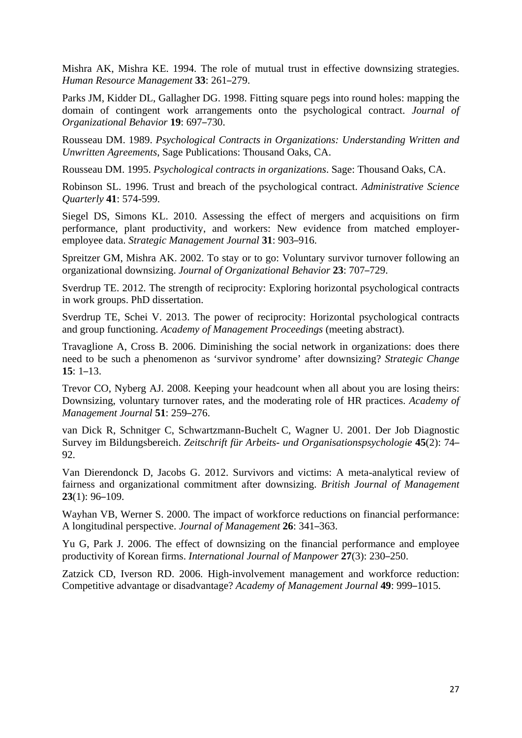Mishra AK, Mishra KE. 1994. The role of mutual trust in effective downsizing strategies. *Human Resource Management* **33**: 261–279.

Parks JM, Kidder DL, Gallagher DG. 1998. Fitting square pegs into round holes: mapping the domain of contingent work arrangements onto the psychological contract. *Journal of Organizational Behavior* **19**: 697–730.

Rousseau DM. 1989. *Psychological Contracts in Organizations: Understanding Written and Unwritten Agreements*, Sage Publications: Thousand Oaks, CA.

Rousseau DM. 1995. *Psychological contracts in organizations*. Sage: Thousand Oaks, CA.

Robinson SL. 1996. Trust and breach of the psychological contract. *Administrative Science Quarterly* **41**: 574-599.

Siegel DS, Simons KL. 2010. Assessing the effect of mergers and acquisitions on firm performance, plant productivity, and workers: New evidence from matched employeremployee data. *Strategic Management Journal* **31**: 903–916.

Spreitzer GM, Mishra AK. 2002. To stay or to go: Voluntary survivor turnover following an organizational downsizing. *Journal of Organizational Behavior* **23**: 707–729.

Sverdrup TE. 2012. The strength of reciprocity: Exploring horizontal psychological contracts in work groups. PhD dissertation.

Sverdrup TE, Schei V. 2013. The power of reciprocity: Horizontal psychological contracts and group functioning. *Academy of Management Proceedings* (meeting abstract).

Travaglione A, Cross B. 2006. Diminishing the social network in organizations: does there need to be such a phenomenon as 'survivor syndrome' after downsizing? *Strategic Change* **15**: 1–13.

Trevor CO, Nyberg AJ. 2008. Keeping your headcount when all about you are losing theirs: Downsizing, voluntary turnover rates, and the moderating role of HR practices. *Academy of Management Journal* **51**: 259–276.

van Dick R, Schnitger C, Schwartzmann-Buchelt C, Wagner U. 2001. Der Job Diagnostic Survey im Bildungsbereich. *Zeitschrift für Arbeits- und Organisationspsychologie* **45**(2): 74– 92.

Van Dierendonck D, Jacobs G. 2012. Survivors and victims: A meta-analytical review of fairness and organizational commitment after downsizing. *British Journal of Management* **23**(1): 96–109.

Wayhan VB, Werner S. 2000. The impact of workforce reductions on financial performance: A longitudinal perspective. *Journal of Management* **26**: 341–363.

Yu G, Park J. 2006. The effect of downsizing on the financial performance and employee productivity of Korean firms. *International Journal of Manpower* **27**(3): 230–250.

Zatzick CD, Iverson RD. 2006. High-involvement management and workforce reduction: Competitive advantage or disadvantage? *Academy of Management Journal* **49**: 999–1015.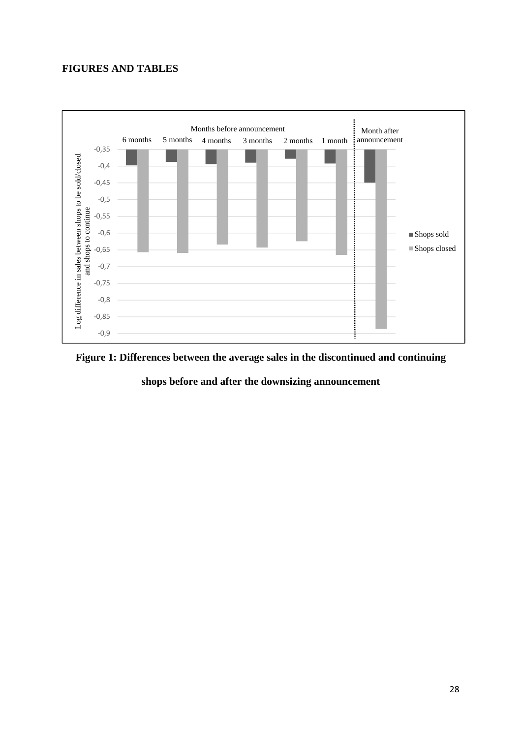### **FIGURES AND TABLES**





**shops before and after the downsizing announcement**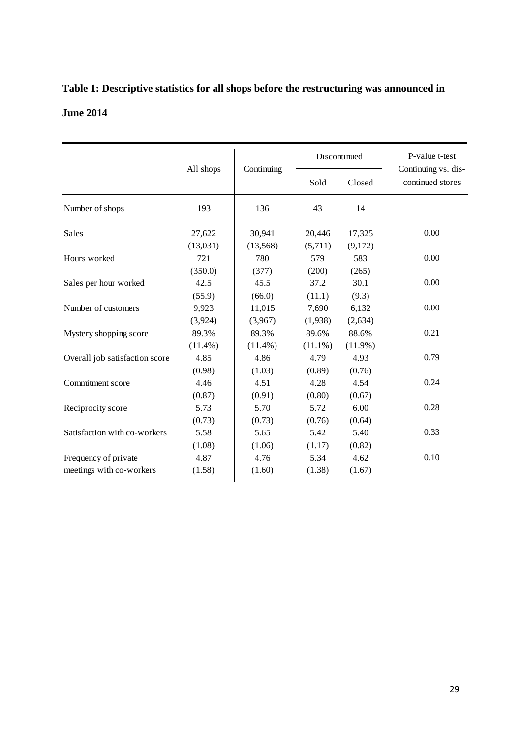## **Table 1: Descriptive statistics for all shops before the restructuring was announced in June 2014**

|                                | All shops  | Continuing | Discontinued |            | P-value t-test<br>Continuing vs. dis- |  |
|--------------------------------|------------|------------|--------------|------------|---------------------------------------|--|
|                                |            |            | Sold         | Closed     | continued stores                      |  |
| Number of shops                | 193        | 136        | 43           | 14         |                                       |  |
| Sales                          | 27,622     | 30,941     | 20,446       | 17,325     | 0.00                                  |  |
|                                | (13,031)   | (13,568)   | (5,711)      | (9,172)    |                                       |  |
| Hours worked                   | 721        | 780        | 579          | 583        | 0.00                                  |  |
|                                | (350.0)    | (377)      | (200)        | (265)      |                                       |  |
| Sales per hour worked          | 42.5       | 45.5       | 37.2         | 30.1       | 0.00                                  |  |
|                                | (55.9)     | (66.0)     | (11.1)       | (9.3)      |                                       |  |
| Number of customers            | 9,923      | 11,015     | 7,690        | 6,132      | 0.00                                  |  |
|                                | (3,924)    | (3,967)    | (1,938)      | (2,634)    |                                       |  |
| Mystery shopping score         | 89.3%      | 89.3%      | 89.6%        | 88.6%      | 0.21                                  |  |
|                                | $(11.4\%)$ | $(11.4\%)$ | $(11.1\%)$   | $(11.9\%)$ |                                       |  |
| Overall job satisfaction score | 4.85       | 4.86       | 4.79         | 4.93       | 0.79                                  |  |
|                                | (0.98)     | (1.03)     | (0.89)       | (0.76)     |                                       |  |
| Commitment score               | 4.46       | 4.51       | 4.28         | 4.54       | 0.24                                  |  |
|                                | (0.87)     | (0.91)     | (0.80)       | (0.67)     |                                       |  |
| Reciprocity score              | 5.73       | 5.70       | 5.72         | 6.00       | 0.28                                  |  |
|                                | (0.73)     | (0.73)     | (0.76)       | (0.64)     |                                       |  |
| Satisfaction with co-workers   | 5.58       | 5.65       | 5.42         | 5.40       | 0.33                                  |  |
|                                | (1.08)     | (1.06)     | (1.17)       | (0.82)     |                                       |  |
| Frequency of private           | 4.87       | 4.76       | 5.34         | 4.62       | 0.10                                  |  |
| meetings with co-workers       | (1.58)     | (1.60)     | (1.38)       | (1.67)     |                                       |  |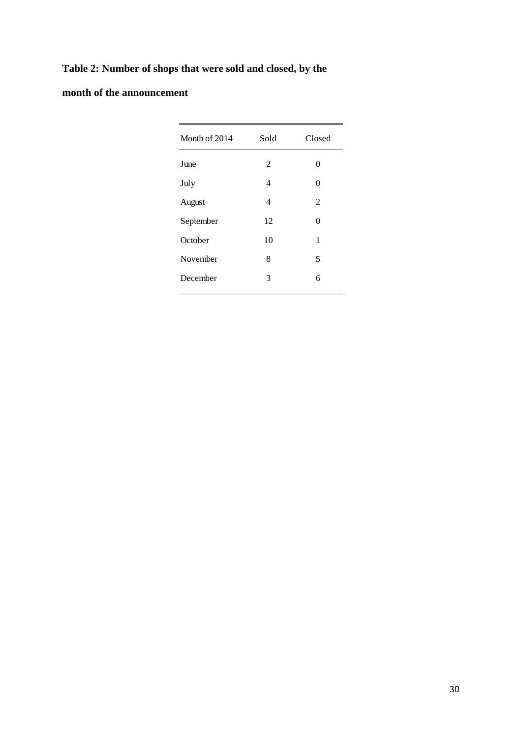## **Table 2: Number of shops that were sold and closed, by the**

## **month of the announcement**

| Month of 2014 | Sold           | Closed         |
|---------------|----------------|----------------|
| June          | 2              | 0              |
| July          | 4              | $\Omega$       |
| August        | $\overline{4}$ | $\overline{2}$ |
| September     | 12             | $\Omega$       |
| October       | 10             | 1              |
| November      | 8              | 5              |
| December      | 3              | 6              |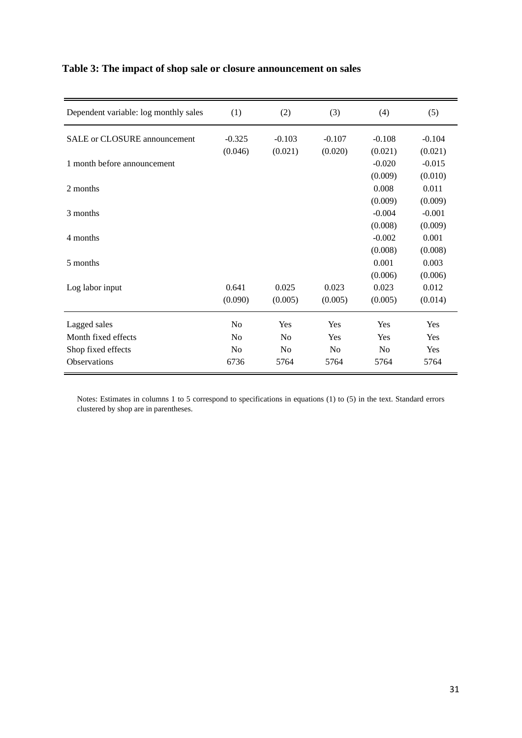| Dependent variable: log monthly sales | (1)            | (2)            | (3)      | (4)            | (5)      |
|---------------------------------------|----------------|----------------|----------|----------------|----------|
| <b>SALE</b> or CLOSURE announcement   | $-0.325$       | $-0.103$       | $-0.107$ | $-0.108$       | $-0.104$ |
|                                       | (0.046)        | (0.021)        | (0.020)  | (0.021)        | (0.021)  |
| 1 month before announcement           |                |                |          | $-0.020$       | $-0.015$ |
|                                       |                |                |          | (0.009)        | (0.010)  |
| 2 months                              |                |                |          | 0.008          | 0.011    |
|                                       |                |                |          | (0.009)        | (0.009)  |
| 3 months                              |                |                |          | $-0.004$       | $-0.001$ |
|                                       |                |                |          | (0.008)        | (0.009)  |
| 4 months                              |                |                |          | $-0.002$       | 0.001    |
|                                       |                |                |          | (0.008)        | (0.008)  |
| 5 months                              |                |                |          | 0.001          | 0.003    |
|                                       |                |                |          | (0.006)        | (0.006)  |
| Log labor input                       | 0.641          | 0.025          | 0.023    | 0.023          | 0.012    |
|                                       | (0.090)        | (0.005)        | (0.005)  | (0.005)        | (0.014)  |
| Lagged sales                          | No             | Yes            | Yes      | Yes            | Yes      |
| Month fixed effects                   | No             | N <sub>0</sub> | Yes      | Yes            | Yes      |
| Shop fixed effects                    | N <sub>0</sub> | No             | No       | N <sub>0</sub> | Yes      |
| <b>Observations</b>                   | 6736           | 5764           | 5764     | 5764           | 5764     |

### **Table 3: The impact of shop sale or closure announcement on sales**

Notes: Estimates in columns 1 to 5 correspond to specifications in equations (1) to (5) in the text. Standard errors clustered by shop are in parentheses.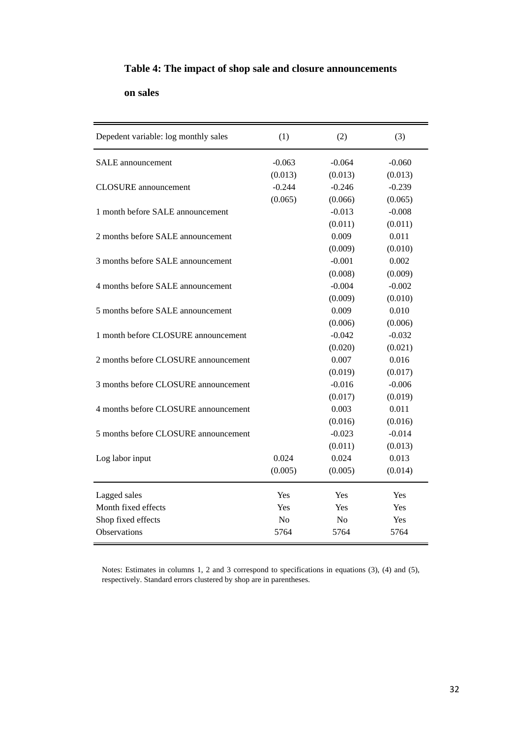### **Table 4: The impact of shop sale and closure announcements**

#### **on sales**

| Depedent variable: log monthly sales | (1)            | (2)            | (3)      |
|--------------------------------------|----------------|----------------|----------|
| <b>SALE</b> announcement             | $-0.063$       | $-0.064$       | $-0.060$ |
|                                      | (0.013)        | (0.013)        | (0.013)  |
| <b>CLOSURE</b> announcement          | $-0.244$       | $-0.246$       | $-0.239$ |
|                                      | (0.065)        | (0.066)        | (0.065)  |
| 1 month before SALE announcement     |                | $-0.013$       | $-0.008$ |
|                                      |                | (0.011)        | (0.011)  |
| 2 months before SALE announcement    |                | 0.009          | 0.011    |
|                                      |                | (0.009)        | (0.010)  |
| 3 months before SALE announcement    |                | $-0.001$       | 0.002    |
|                                      |                | (0.008)        | (0.009)  |
| 4 months before SALE announcement    |                | $-0.004$       | $-0.002$ |
|                                      |                | (0.009)        | (0.010)  |
| 5 months before SALE announcement    |                | 0.009          | 0.010    |
|                                      |                | (0.006)        | (0.006)  |
| 1 month before CLOSURE announcement  |                | $-0.042$       | $-0.032$ |
|                                      |                | (0.020)        | (0.021)  |
| 2 months before CLOSURE announcement |                | 0.007          | 0.016    |
|                                      |                | (0.019)        | (0.017)  |
| 3 months before CLOSURE announcement |                | $-0.016$       | $-0.006$ |
|                                      |                | (0.017)        | (0.019)  |
| 4 months before CLOSURE announcement |                | 0.003          | 0.011    |
|                                      |                | (0.016)        | (0.016)  |
| 5 months before CLOSURE announcement |                | $-0.023$       | $-0.014$ |
|                                      |                | (0.011)        | (0.013)  |
| Log labor input                      | 0.024          | 0.024          | 0.013    |
|                                      | (0.005)        | (0.005)        | (0.014)  |
| Lagged sales                         | Yes            | Yes            | Yes      |
| Month fixed effects                  | Yes            | Yes            | Yes      |
| Shop fixed effects                   | N <sub>0</sub> | N <sub>0</sub> | Yes      |
| Observations                         | 5764           | 5764           | 5764     |

Notes: Estimates in columns 1, 2 and 3 correspond to specifications in equations (3), (4) and (5), respectively. Standard errors clustered by shop are in parentheses.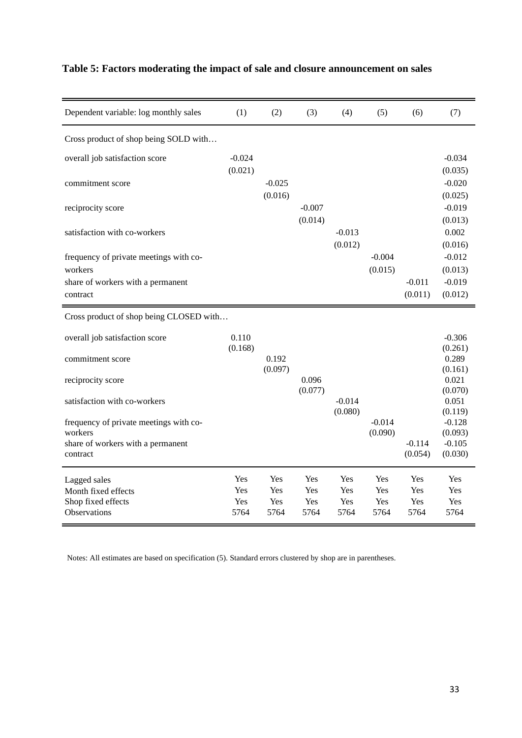| Dependent variable: log monthly sales         | (1)                | (2)              | (3)         | (4)                 | (5)         | (6)                 | (7)                 |
|-----------------------------------------------|--------------------|------------------|-------------|---------------------|-------------|---------------------|---------------------|
| Cross product of shop being SOLD with         |                    |                  |             |                     |             |                     |                     |
| overall job satisfaction score                | $-0.024$           |                  |             |                     |             |                     | $-0.034$            |
|                                               | (0.021)            |                  |             |                     |             |                     | (0.035)             |
| commitment score                              |                    | $-0.025$         |             |                     |             |                     | $-0.020$            |
| reciprocity score                             |                    | (0.016)          | $-0.007$    |                     |             |                     | (0.025)<br>$-0.019$ |
|                                               |                    |                  | (0.014)     |                     |             |                     | (0.013)             |
| satisfaction with co-workers                  |                    |                  |             | $-0.013$            |             |                     | 0.002               |
|                                               |                    |                  |             | (0.012)             |             |                     | (0.016)             |
| frequency of private meetings with co-        |                    |                  |             |                     | $-0.004$    |                     | $-0.012$            |
| workers                                       |                    |                  |             |                     | (0.015)     | $-0.011$            | (0.013)<br>$-0.019$ |
| share of workers with a permanent<br>contract |                    |                  |             |                     |             | (0.011)             | (0.012)             |
|                                               |                    |                  |             |                     |             |                     |                     |
| Cross product of shop being CLOSED with       |                    |                  |             |                     |             |                     |                     |
| overall job satisfaction score                | 0.110              |                  |             |                     |             |                     | $-0.306$            |
|                                               | (0.168)            |                  |             |                     |             |                     | (0.261)             |
| commitment score                              |                    | 0.192<br>(0.097) |             |                     |             |                     | 0.289<br>(0.161)    |
| reciprocity score                             |                    |                  | 0.096       |                     |             |                     | 0.021               |
|                                               |                    |                  | (0.077)     |                     |             |                     | (0.070)             |
| satisfaction with co-workers                  |                    |                  |             | $-0.014$<br>(0.080) |             |                     | 0.051<br>(0.119)    |
| frequency of private meetings with co-        |                    |                  |             |                     | $-0.014$    |                     | $-0.128$            |
| workers                                       |                    |                  |             |                     | (0.090)     |                     | (0.093)             |
| share of workers with a permanent<br>contract |                    |                  |             |                     |             | $-0.114$<br>(0.054) | $-0.105$<br>(0.030) |
|                                               |                    |                  |             |                     |             |                     |                     |
| Lagged sales                                  | Yes                | <b>Yes</b>       | Yes         | Yes                 | Yes         | Yes                 | <b>Yes</b>          |
| Month fixed effects                           | Yes                | <b>Yes</b>       | Yes         | Yes                 | Yes         | Yes                 | <b>Yes</b>          |
| Shop fixed effects<br>Observations            | <b>Yes</b><br>5764 | Yes<br>5764      | Yes<br>5764 | Yes<br>5764         | Yes<br>5764 | <b>Yes</b><br>5764  | Yes<br>5764         |
|                                               |                    |                  |             |                     |             |                     |                     |

## **Table 5: Factors moderating the impact of sale and closure announcement on sales**

Notes: All estimates are based on specification (5). Standard errors clustered by shop are in parentheses.